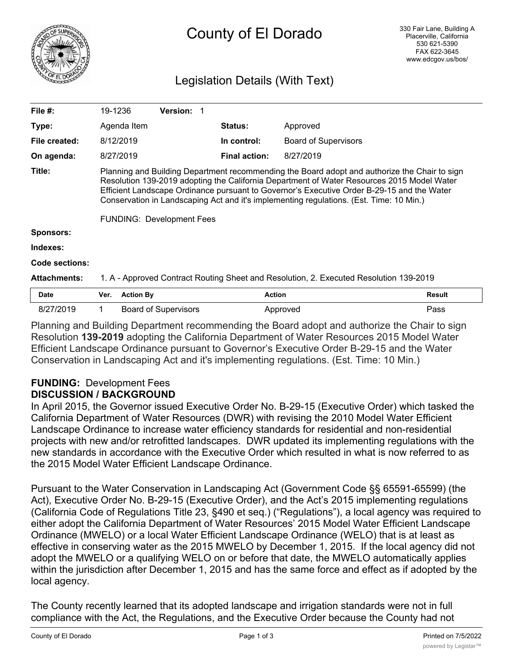

# County of El Dorado

### Legislation Details (With Text)

| File $#$ :          |                                                                                                                                                                                                                                                                                                                                                                                                                          | 19-1236          | Version: 1                  |  |                      |                             |        |
|---------------------|--------------------------------------------------------------------------------------------------------------------------------------------------------------------------------------------------------------------------------------------------------------------------------------------------------------------------------------------------------------------------------------------------------------------------|------------------|-----------------------------|--|----------------------|-----------------------------|--------|
| Type:               |                                                                                                                                                                                                                                                                                                                                                                                                                          | Agenda Item      |                             |  | <b>Status:</b>       | Approved                    |        |
| File created:       |                                                                                                                                                                                                                                                                                                                                                                                                                          | 8/12/2019        |                             |  | In control:          | <b>Board of Supervisors</b> |        |
| On agenda:          |                                                                                                                                                                                                                                                                                                                                                                                                                          | 8/27/2019        |                             |  | <b>Final action:</b> | 8/27/2019                   |        |
| Title:              | Planning and Building Department recommending the Board adopt and authorize the Chair to sign<br>Resolution 139-2019 adopting the California Department of Water Resources 2015 Model Water<br>Efficient Landscape Ordinance pursuant to Governor's Executive Order B-29-15 and the Water<br>Conservation in Landscaping Act and it's implementing regulations. (Est. Time: 10 Min.)<br><b>FUNDING: Development Fees</b> |                  |                             |  |                      |                             |        |
| <b>Sponsors:</b>    |                                                                                                                                                                                                                                                                                                                                                                                                                          |                  |                             |  |                      |                             |        |
| Indexes:            |                                                                                                                                                                                                                                                                                                                                                                                                                          |                  |                             |  |                      |                             |        |
| Code sections:      |                                                                                                                                                                                                                                                                                                                                                                                                                          |                  |                             |  |                      |                             |        |
| <b>Attachments:</b> | 1. A - Approved Contract Routing Sheet and Resolution, 2. Executed Resolution 139-2019                                                                                                                                                                                                                                                                                                                                   |                  |                             |  |                      |                             |        |
| <b>Date</b>         | Ver.                                                                                                                                                                                                                                                                                                                                                                                                                     | <b>Action By</b> |                             |  | <b>Action</b>        |                             | Result |
| 8/27/2019           |                                                                                                                                                                                                                                                                                                                                                                                                                          |                  | <b>Board of Supervisors</b> |  |                      | Approved                    | Pass   |

Planning and Building Department recommending the Board adopt and authorize the Chair to sign Resolution **139-2019** adopting the California Department of Water Resources 2015 Model Water Efficient Landscape Ordinance pursuant to Governor's Executive Order B-29-15 and the Water Conservation in Landscaping Act and it's implementing regulations. (Est. Time: 10 Min.)

#### **FUNDING:** Development Fees **DISCUSSION / BACKGROUND**

In April 2015, the Governor issued Executive Order No. B-29-15 (Executive Order) which tasked the California Department of Water Resources (DWR) with revising the 2010 Model Water Efficient Landscape Ordinance to increase water efficiency standards for residential and non-residential projects with new and/or retrofitted landscapes. DWR updated its implementing regulations with the new standards in accordance with the Executive Order which resulted in what is now referred to as the 2015 Model Water Efficient Landscape Ordinance.

Pursuant to the Water Conservation in Landscaping Act (Government Code §§ 65591-65599) (the Act), Executive Order No. B-29-15 (Executive Order), and the Act's 2015 implementing regulations (California Code of Regulations Title 23, §490 et seq.) ("Regulations"), a local agency was required to either adopt the California Department of Water Resources' 2015 Model Water Efficient Landscape Ordinance (MWELO) or a local Water Efficient Landscape Ordinance (WELO) that is at least as effective in conserving water as the 2015 MWELO by December 1, 2015. If the local agency did not adopt the MWELO or a qualifying WELO on or before that date, the MWELO automatically applies within the jurisdiction after December 1, 2015 and has the same force and effect as if adopted by the local agency.

The County recently learned that its adopted landscape and irrigation standards were not in full compliance with the Act, the Regulations, and the Executive Order because the County had not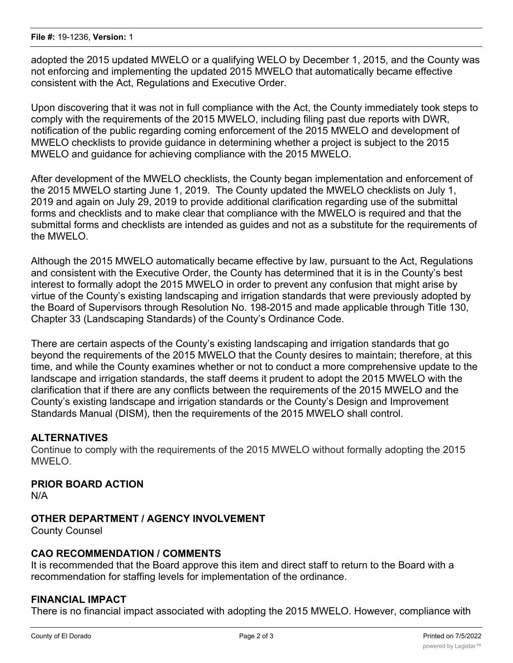adopted the 2015 updated MWELO or a qualifying WELO by December 1, 2015, and the County was not enforcing and implementing the updated 2015 MWELO that automatically became effective consistent with the Act, Regulations and Executive Order.

Upon discovering that it was not in full compliance with the Act, the County immediately took steps to comply with the requirements of the 2015 MWELO, including filing past due reports with DWR, notification of the public regarding coming enforcement of the 2015 MWELO and development of MWELO checklists to provide guidance in determining whether a project is subject to the 2015 MWELO and guidance for achieving compliance with the 2015 MWELO.

After development of the MWELO checklists, the County began implementation and enforcement of the 2015 MWELO starting June 1, 2019. The County updated the MWELO checklists on July 1, 2019 and again on July 29, 2019 to provide additional clarification regarding use of the submittal forms and checklists and to make clear that compliance with the MWELO is required and that the submittal forms and checklists are intended as guides and not as a substitute for the requirements of the MWELO.

Although the 2015 MWELO automatically became effective by law, pursuant to the Act, Regulations and consistent with the Executive Order, the County has determined that it is in the County's best interest to formally adopt the 2015 MWELO in order to prevent any confusion that might arise by virtue of the County's existing landscaping and irrigation standards that were previously adopted by the Board of Supervisors through Resolution No. 198-2015 and made applicable through Title 130, Chapter 33 (Landscaping Standards) of the County's Ordinance Code.

There are certain aspects of the County's existing landscaping and irrigation standards that go beyond the requirements of the 2015 MWELO that the County desires to maintain; therefore, at this time, and while the County examines whether or not to conduct a more comprehensive update to the landscape and irrigation standards, the staff deems it prudent to adopt the 2015 MWELO with the clarification that if there are any conflicts between the requirements of the 2015 MWELO and the County's existing landscape and irrigation standards or the County's Design and Improvement Standards Manual (DISM), then the requirements of the 2015 MWELO shall control.

#### **ALTERNATIVES**

Continue to comply with the requirements of the 2015 MWELO without formally adopting the 2015 MWELO.

## **PRIOR BOARD ACTION**

N/A

#### **OTHER DEPARTMENT / AGENCY INVOLVEMENT**

County Counsel

#### **CAO RECOMMENDATION / COMMENTS**

It is recommended that the Board approve this item and direct staff to return to the Board with a recommendation for staffing levels for implementation of the ordinance.

#### **FINANCIAL IMPACT**

There is no financial impact associated with adopting the 2015 MWELO. However, compliance with